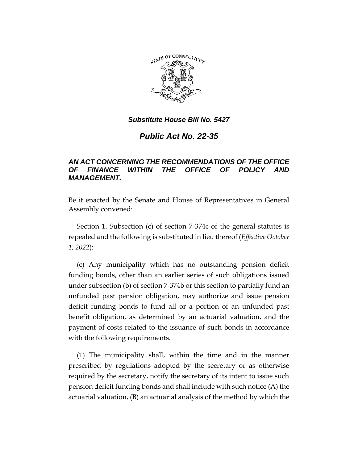

# *Public Act No. 22-35*

# *AN ACT CONCERNING THE RECOMMENDATIONS OF THE OFFICE OF FINANCE WITHIN THE OFFICE OF POLICY AND MANAGEMENT.*

Be it enacted by the Senate and House of Representatives in General Assembly convened:

Section 1. Subsection (c) of section 7-374c of the general statutes is repealed and the following is substituted in lieu thereof (*Effective October 1, 2022*):

(c) Any municipality which has no outstanding pension deficit funding bonds, other than an earlier series of such obligations issued under subsection (b) of section 7-374b or this section to partially fund an unfunded past pension obligation, may authorize and issue pension deficit funding bonds to fund all or a portion of an unfunded past benefit obligation, as determined by an actuarial valuation, and the payment of costs related to the issuance of such bonds in accordance with the following requirements.

(1) The municipality shall, within the time and in the manner prescribed by regulations adopted by the secretary or as otherwise required by the secretary, notify the secretary of its intent to issue such pension deficit funding bonds and shall include with such notice (A) the actuarial valuation, (B) an actuarial analysis of the method by which the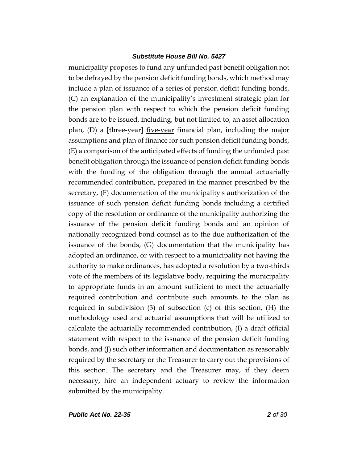municipality proposes to fund any unfunded past benefit obligation not to be defrayed by the pension deficit funding bonds, which method may include a plan of issuance of a series of pension deficit funding bonds, (C) an explanation of the municipality's investment strategic plan for the pension plan with respect to which the pension deficit funding bonds are to be issued, including, but not limited to, an asset allocation plan, (D) a **[**three-year**]** five-year financial plan, including the major assumptions and plan of finance for such pension deficit funding bonds, (E) a comparison of the anticipated effects of funding the unfunded past benefit obligation through the issuance of pension deficit funding bonds with the funding of the obligation through the annual actuarially recommended contribution, prepared in the manner prescribed by the secretary, (F) documentation of the municipality's authorization of the issuance of such pension deficit funding bonds including a certified copy of the resolution or ordinance of the municipality authorizing the issuance of the pension deficit funding bonds and an opinion of nationally recognized bond counsel as to the due authorization of the issuance of the bonds, (G) documentation that the municipality has adopted an ordinance, or with respect to a municipality not having the authority to make ordinances, has adopted a resolution by a two-thirds vote of the members of its legislative body, requiring the municipality to appropriate funds in an amount sufficient to meet the actuarially required contribution and contribute such amounts to the plan as required in subdivision (3) of subsection (c) of this section, (H) the methodology used and actuarial assumptions that will be utilized to calculate the actuarially recommended contribution, (I) a draft official statement with respect to the issuance of the pension deficit funding bonds, and (J) such other information and documentation as reasonably required by the secretary or the Treasurer to carry out the provisions of this section. The secretary and the Treasurer may, if they deem necessary, hire an independent actuary to review the information submitted by the municipality.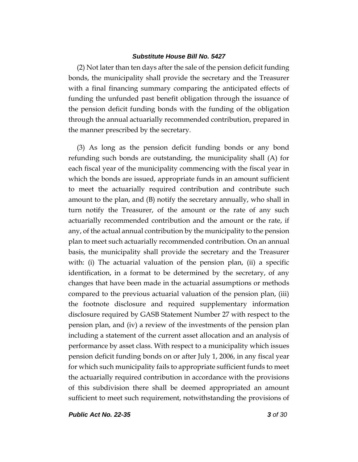(2) Not later than ten days after the sale of the pension deficit funding bonds, the municipality shall provide the secretary and the Treasurer with a final financing summary comparing the anticipated effects of funding the unfunded past benefit obligation through the issuance of the pension deficit funding bonds with the funding of the obligation through the annual actuarially recommended contribution, prepared in the manner prescribed by the secretary.

(3) As long as the pension deficit funding bonds or any bond refunding such bonds are outstanding, the municipality shall (A) for each fiscal year of the municipality commencing with the fiscal year in which the bonds are issued, appropriate funds in an amount sufficient to meet the actuarially required contribution and contribute such amount to the plan, and (B) notify the secretary annually, who shall in turn notify the Treasurer, of the amount or the rate of any such actuarially recommended contribution and the amount or the rate, if any, of the actual annual contribution by the municipality to the pension plan to meet such actuarially recommended contribution. On an annual basis, the municipality shall provide the secretary and the Treasurer with: (i) The actuarial valuation of the pension plan, (ii) a specific identification, in a format to be determined by the secretary, of any changes that have been made in the actuarial assumptions or methods compared to the previous actuarial valuation of the pension plan, (iii) the footnote disclosure and required supplementary information disclosure required by GASB Statement Number 27 with respect to the pension plan, and (iv) a review of the investments of the pension plan including a statement of the current asset allocation and an analysis of performance by asset class. With respect to a municipality which issues pension deficit funding bonds on or after July 1, 2006, in any fiscal year for which such municipality fails to appropriate sufficient funds to meet the actuarially required contribution in accordance with the provisions of this subdivision there shall be deemed appropriated an amount sufficient to meet such requirement, notwithstanding the provisions of

*Public Act No. 22-35 3 of 30*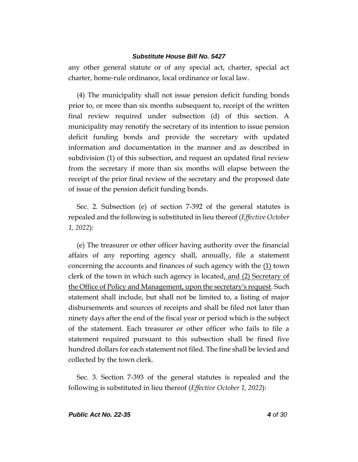any other general statute or of any special act, charter, special act charter, home-rule ordinance, local ordinance or local law.

(4) The municipality shall not issue pension deficit funding bonds prior to, or more than six months subsequent to, receipt of the written final review required under subsection (d) of this section. A municipality may renotify the secretary of its intention to issue pension deficit funding bonds and provide the secretary with updated information and documentation in the manner and as described in subdivision (1) of this subsection, and request an updated final review from the secretary if more than six months will elapse between the receipt of the prior final review of the secretary and the proposed date of issue of the pension deficit funding bonds.

Sec. 2. Subsection (e) of section 7-392 of the general statutes is repealed and the following is substituted in lieu thereof (*Effective October 1, 2022*):

(e) The treasurer or other officer having authority over the financial affairs of any reporting agency shall, annually, file a statement concerning the accounts and finances of such agency with the  $(1)$  town clerk of the town in which such agency is located, and (2) Secretary of the Office of Policy and Management, upon the secretary's request. Such statement shall include, but shall not be limited to, a listing of major disbursements and sources of receipts and shall be filed not later than ninety days after the end of the fiscal year or period which is the subject of the statement. Each treasurer or other officer who fails to file a statement required pursuant to this subsection shall be fined five hundred dollars for each statement not filed. The fine shall be levied and collected by the town clerk.

Sec. 3. Section 7-393 of the general statutes is repealed and the following is substituted in lieu thereof (*Effective October 1, 2022*):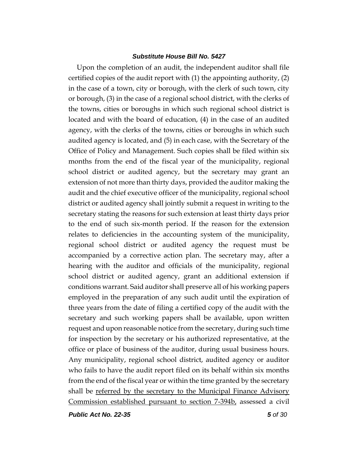Upon the completion of an audit, the independent auditor shall file certified copies of the audit report with (1) the appointing authority, (2) in the case of a town, city or borough, with the clerk of such town, city or borough, (3) in the case of a regional school district, with the clerks of the towns, cities or boroughs in which such regional school district is located and with the board of education, (4) in the case of an audited agency, with the clerks of the towns, cities or boroughs in which such audited agency is located, and (5) in each case, with the Secretary of the Office of Policy and Management. Such copies shall be filed within six months from the end of the fiscal year of the municipality, regional school district or audited agency, but the secretary may grant an extension of not more than thirty days, provided the auditor making the audit and the chief executive officer of the municipality, regional school district or audited agency shall jointly submit a request in writing to the secretary stating the reasons for such extension at least thirty days prior to the end of such six-month period. If the reason for the extension relates to deficiencies in the accounting system of the municipality, regional school district or audited agency the request must be accompanied by a corrective action plan. The secretary may, after a hearing with the auditor and officials of the municipality, regional school district or audited agency, grant an additional extension if conditions warrant. Said auditor shall preserve all of his working papers employed in the preparation of any such audit until the expiration of three years from the date of filing a certified copy of the audit with the secretary and such working papers shall be available, upon written request and upon reasonable notice from the secretary, during such time for inspection by the secretary or his authorized representative, at the office or place of business of the auditor, during usual business hours. Any municipality, regional school district, audited agency or auditor who fails to have the audit report filed on its behalf within six months from the end of the fiscal year or within the time granted by the secretary shall be referred by the secretary to the Municipal Finance Advisory Commission established pursuant to section 7-394b, assessed a civil

*Public Act No. 22-35 5 of 30*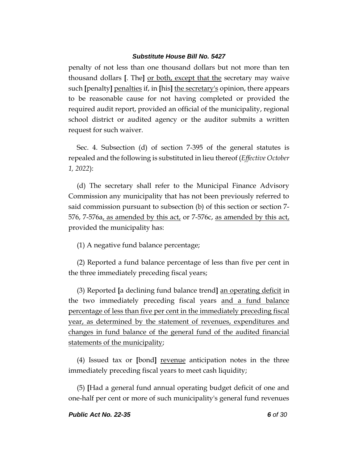penalty of not less than one thousand dollars but not more than ten thousand dollars **[**. The**]** or both, except that the secretary may waive such **[**penalty**]** penalties if, in **[**his**]** the secretary's opinion, there appears to be reasonable cause for not having completed or provided the required audit report, provided an official of the municipality, regional school district or audited agency or the auditor submits a written request for such waiver.

Sec. 4. Subsection (d) of section 7-395 of the general statutes is repealed and the following is substituted in lieu thereof (*Effective October 1, 2022*):

(d) The secretary shall refer to the Municipal Finance Advisory Commission any municipality that has not been previously referred to said commission pursuant to subsection (b) of this section or section 7- 576, 7-576a, as amended by this act, or 7-576c, as amended by this act, provided the municipality has:

(1) A negative fund balance percentage;

(2) Reported a fund balance percentage of less than five per cent in the three immediately preceding fiscal years;

(3) Reported **[**a declining fund balance trend**]** an operating deficit in the two immediately preceding fiscal years and a fund balance percentage of less than five per cent in the immediately preceding fiscal year, as determined by the statement of revenues, expenditures and changes in fund balance of the general fund of the audited financial statements of the municipality;

(4) Issued tax or **[**bond**]** revenue anticipation notes in the three immediately preceding fiscal years to meet cash liquidity;

(5) **[**Had a general fund annual operating budget deficit of one and one-half per cent or more of such municipality's general fund revenues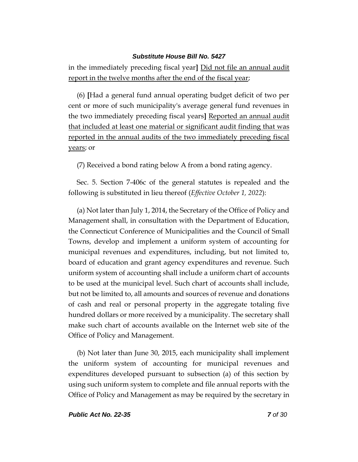in the immediately preceding fiscal year**]** Did not file an annual audit report in the twelve months after the end of the fiscal year;

(6) **[**Had a general fund annual operating budget deficit of two per cent or more of such municipality's average general fund revenues in the two immediately preceding fiscal years**]** Reported an annual audit that included at least one material or significant audit finding that was reported in the annual audits of the two immediately preceding fiscal years; or

(7) Received a bond rating below A from a bond rating agency.

Sec. 5. Section 7-406c of the general statutes is repealed and the following is substituted in lieu thereof (*Effective October 1, 2022*):

(a) Not later than July 1, 2014, the Secretary of the Office of Policy and Management shall, in consultation with the Department of Education, the Connecticut Conference of Municipalities and the Council of Small Towns, develop and implement a uniform system of accounting for municipal revenues and expenditures, including, but not limited to, board of education and grant agency expenditures and revenue. Such uniform system of accounting shall include a uniform chart of accounts to be used at the municipal level. Such chart of accounts shall include, but not be limited to, all amounts and sources of revenue and donations of cash and real or personal property in the aggregate totaling five hundred dollars or more received by a municipality. The secretary shall make such chart of accounts available on the Internet web site of the Office of Policy and Management.

(b) Not later than June 30, 2015, each municipality shall implement the uniform system of accounting for municipal revenues and expenditures developed pursuant to subsection (a) of this section by using such uniform system to complete and file annual reports with the Office of Policy and Management as may be required by the secretary in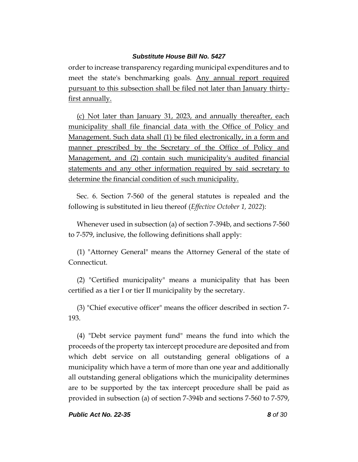order to increase transparency regarding municipal expenditures and to meet the state's benchmarking goals. Any annual report required pursuant to this subsection shall be filed not later than January thirtyfirst annually.

(c) Not later than January 31, 2023, and annually thereafter, each municipality shall file financial data with the Office of Policy and Management. Such data shall (1) be filed electronically, in a form and manner prescribed by the Secretary of the Office of Policy and Management, and (2) contain such municipality's audited financial statements and any other information required by said secretary to determine the financial condition of such municipality.

Sec. 6. Section 7-560 of the general statutes is repealed and the following is substituted in lieu thereof (*Effective October 1, 2022*):

Whenever used in subsection (a) of section 7-394b, and sections 7-560 to 7-579, inclusive, the following definitions shall apply:

(1) "Attorney General" means the Attorney General of the state of Connecticut.

(2) "Certified municipality" means a municipality that has been certified as a tier I or tier II municipality by the secretary.

(3) "Chief executive officer" means the officer described in section 7- 193.

(4) "Debt service payment fund" means the fund into which the proceeds of the property tax intercept procedure are deposited and from which debt service on all outstanding general obligations of a municipality which have a term of more than one year and additionally all outstanding general obligations which the municipality determines are to be supported by the tax intercept procedure shall be paid as provided in subsection (a) of section 7-394b and sections 7-560 to 7-579,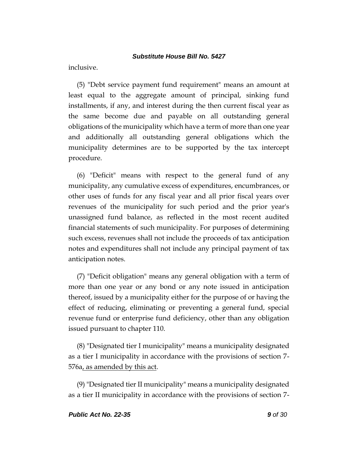inclusive.

(5) "Debt service payment fund requirement" means an amount at least equal to the aggregate amount of principal, sinking fund installments, if any, and interest during the then current fiscal year as the same become due and payable on all outstanding general obligations of the municipality which have a term of more than one year and additionally all outstanding general obligations which the municipality determines are to be supported by the tax intercept procedure.

(6) "Deficit" means with respect to the general fund of any municipality, any cumulative excess of expenditures, encumbrances, or other uses of funds for any fiscal year and all prior fiscal years over revenues of the municipality for such period and the prior year's unassigned fund balance, as reflected in the most recent audited financial statements of such municipality. For purposes of determining such excess, revenues shall not include the proceeds of tax anticipation notes and expenditures shall not include any principal payment of tax anticipation notes.

(7) "Deficit obligation" means any general obligation with a term of more than one year or any bond or any note issued in anticipation thereof, issued by a municipality either for the purpose of or having the effect of reducing, eliminating or preventing a general fund, special revenue fund or enterprise fund deficiency, other than any obligation issued pursuant to chapter 110.

(8) "Designated tier I municipality" means a municipality designated as a tier I municipality in accordance with the provisions of section 7- 576a, as amended by this act.

(9) "Designated tier II municipality" means a municipality designated as a tier II municipality in accordance with the provisions of section 7-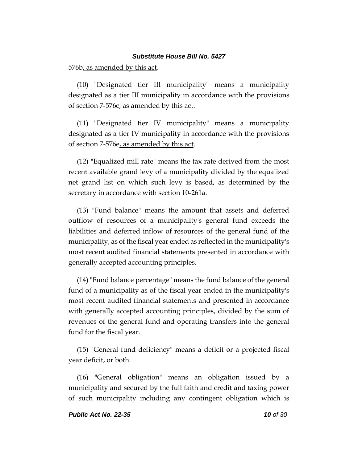576b, as amended by this act.

(10) "Designated tier III municipality" means a municipality designated as a tier III municipality in accordance with the provisions of section 7-576c, as amended by this act.

(11) "Designated tier IV municipality" means a municipality designated as a tier IV municipality in accordance with the provisions of section 7-576e, as amended by this act.

(12) "Equalized mill rate" means the tax rate derived from the most recent available grand levy of a municipality divided by the equalized net grand list on which such levy is based, as determined by the secretary in accordance with section 10-261a.

(13) "Fund balance" means the amount that assets and deferred outflow of resources of a municipality's general fund exceeds the liabilities and deferred inflow of resources of the general fund of the municipality, as of the fiscal year ended as reflected in the municipality's most recent audited financial statements presented in accordance with generally accepted accounting principles.

(14) "Fund balance percentage" means the fund balance of the general fund of a municipality as of the fiscal year ended in the municipality's most recent audited financial statements and presented in accordance with generally accepted accounting principles, divided by the sum of revenues of the general fund and operating transfers into the general fund for the fiscal year.

(15) "General fund deficiency" means a deficit or a projected fiscal year deficit, or both.

(16) "General obligation" means an obligation issued by a municipality and secured by the full faith and credit and taxing power of such municipality including any contingent obligation which is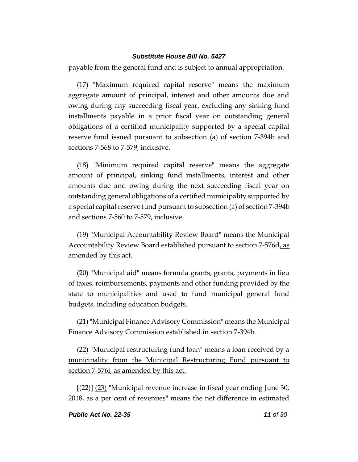payable from the general fund and is subject to annual appropriation.

(17) "Maximum required capital reserve" means the maximum aggregate amount of principal, interest and other amounts due and owing during any succeeding fiscal year, excluding any sinking fund installments payable in a prior fiscal year on outstanding general obligations of a certified municipality supported by a special capital reserve fund issued pursuant to subsection (a) of section 7-394b and sections 7-568 to 7-579, inclusive.

(18) "Minimum required capital reserve" means the aggregate amount of principal, sinking fund installments, interest and other amounts due and owing during the next succeeding fiscal year on outstanding general obligations of a certified municipality supported by a special capital reserve fund pursuant to subsection (a) of section 7-394b and sections 7-560 to 7-579, inclusive.

(19) "Municipal Accountability Review Board" means the Municipal Accountability Review Board established pursuant to section 7-576d, as amended by this act.

(20) "Municipal aid" means formula grants, grants, payments in lieu of taxes, reimbursements, payments and other funding provided by the state to municipalities and used to fund municipal general fund budgets, including education budgets.

(21)"Municipal Finance Advisory Commission" means the Municipal Finance Advisory Commission established in section 7-394b.

(22) "Municipal restructuring fund loan" means a loan received by a municipality from the Municipal Restructuring Fund pursuant to section 7-576i, as amended by this act.

**[**(22)**]** (23) "Municipal revenue increase in fiscal year ending June 30, 2018, as a per cent of revenues" means the net difference in estimated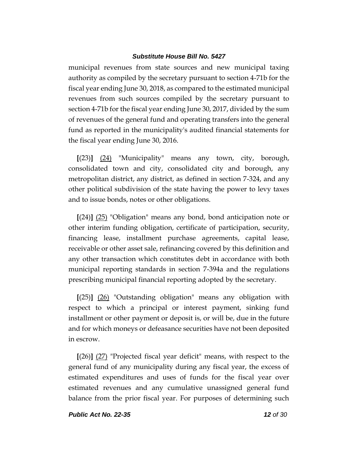municipal revenues from state sources and new municipal taxing authority as compiled by the secretary pursuant to section 4-71b for the fiscal year ending June 30, 2018, as compared to the estimated municipal revenues from such sources compiled by the secretary pursuant to section 4-71b for the fiscal year ending June 30, 2017, divided by the sum of revenues of the general fund and operating transfers into the general fund as reported in the municipality's audited financial statements for the fiscal year ending June 30, 2016.

**[**(23)**]** (24) "Municipality" means any town, city, borough, consolidated town and city, consolidated city and borough, any metropolitan district, any district, as defined in section 7-324, and any other political subdivision of the state having the power to levy taxes and to issue bonds, notes or other obligations.

**[**(24)**]** (25) "Obligation" means any bond, bond anticipation note or other interim funding obligation, certificate of participation, security, financing lease, installment purchase agreements, capital lease, receivable or other asset sale, refinancing covered by this definition and any other transaction which constitutes debt in accordance with both municipal reporting standards in section 7-394a and the regulations prescribing municipal financial reporting adopted by the secretary.

**[**(25)**]** (26) "Outstanding obligation" means any obligation with respect to which a principal or interest payment, sinking fund installment or other payment or deposit is, or will be, due in the future and for which moneys or defeasance securities have not been deposited in escrow.

**[**(26)**]** (27) "Projected fiscal year deficit" means, with respect to the general fund of any municipality during any fiscal year, the excess of estimated expenditures and uses of funds for the fiscal year over estimated revenues and any cumulative unassigned general fund balance from the prior fiscal year. For purposes of determining such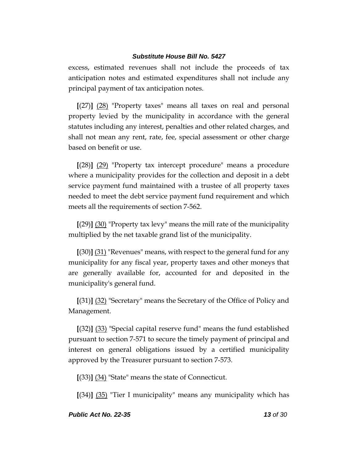excess, estimated revenues shall not include the proceeds of tax anticipation notes and estimated expenditures shall not include any principal payment of tax anticipation notes.

**[**(27)**]** (28) "Property taxes" means all taxes on real and personal property levied by the municipality in accordance with the general statutes including any interest, penalties and other related charges, and shall not mean any rent, rate, fee, special assessment or other charge based on benefit or use.

**[**(28)**]** (29) "Property tax intercept procedure" means a procedure where a municipality provides for the collection and deposit in a debt service payment fund maintained with a trustee of all property taxes needed to meet the debt service payment fund requirement and which meets all the requirements of section 7-562.

**[**(29)**]** (30) "Property tax levy" means the mill rate of the municipality multiplied by the net taxable grand list of the municipality.

**[**(30)**]** (31) "Revenues" means, with respect to the general fund for any municipality for any fiscal year, property taxes and other moneys that are generally available for, accounted for and deposited in the municipality's general fund.

**[**(31)**]** (32) "Secretary" means the Secretary of the Office of Policy and Management.

**[**(32)**]** (33) "Special capital reserve fund" means the fund established pursuant to section 7-571 to secure the timely payment of principal and interest on general obligations issued by a certified municipality approved by the Treasurer pursuant to section 7-573.

**[**(33)**]** (34) "State" means the state of Connecticut.

**[**(34)**]** (35) "Tier I municipality" means any municipality which has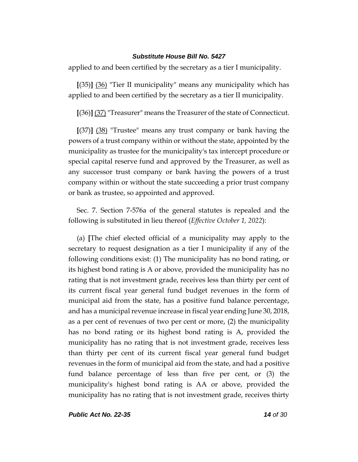applied to and been certified by the secretary as a tier I municipality.

**[**(35)**]** (36) "Tier II municipality" means any municipality which has applied to and been certified by the secretary as a tier II municipality.

**[**(36)**]** (37) "Treasurer" means the Treasurer of the state of Connecticut.

**[**(37)**]** (38) "Trustee" means any trust company or bank having the powers of a trust company within or without the state, appointed by the municipality as trustee for the municipality's tax intercept procedure or special capital reserve fund and approved by the Treasurer, as well as any successor trust company or bank having the powers of a trust company within or without the state succeeding a prior trust company or bank as trustee, so appointed and approved.

Sec. 7. Section 7-576a of the general statutes is repealed and the following is substituted in lieu thereof (*Effective October 1, 2022*):

(a) **[**The chief elected official of a municipality may apply to the secretary to request designation as a tier I municipality if any of the following conditions exist: (1) The municipality has no bond rating, or its highest bond rating is A or above, provided the municipality has no rating that is not investment grade, receives less than thirty per cent of its current fiscal year general fund budget revenues in the form of municipal aid from the state, has a positive fund balance percentage, and has a municipal revenue increase in fiscal year ending June 30, 2018, as a per cent of revenues of two per cent or more, (2) the municipality has no bond rating or its highest bond rating is A, provided the municipality has no rating that is not investment grade, receives less than thirty per cent of its current fiscal year general fund budget revenues in the form of municipal aid from the state, and had a positive fund balance percentage of less than five per cent, or (3) the municipality's highest bond rating is AA or above, provided the municipality has no rating that is not investment grade, receives thirty

*Public Act No. 22-35 14 of 30*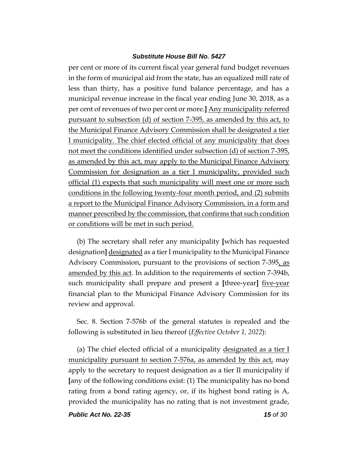per cent or more of its current fiscal year general fund budget revenues in the form of municipal aid from the state, has an equalized mill rate of less than thirty, has a positive fund balance percentage, and has a municipal revenue increase in the fiscal year ending June 30, 2018, as a per cent of revenues of two per cent or more.**]** Any municipality referred pursuant to subsection (d) of section 7-395, as amended by this act, to the Municipal Finance Advisory Commission shall be designated a tier I municipality. The chief elected official of any municipality that does not meet the conditions identified under subsection (d) of section 7-395, as amended by this act, may apply to the Municipal Finance Advisory Commission for designation as a tier I municipality, provided such official (1) expects that such municipality will meet one or more such conditions in the following twenty-four month period, and (2) submits a report to the Municipal Finance Advisory Commission, in a form and manner prescribed by the commission, that confirms that such condition or conditions will be met in such period.

(b) The secretary shall refer any municipality **[**which has requested designation**]** designated as a tier I municipality to the Municipal Finance Advisory Commission, pursuant to the provisions of section 7-395, as amended by this act. In addition to the requirements of section 7-394b, such municipality shall prepare and present a **[**three-year**]** five-year financial plan to the Municipal Finance Advisory Commission for its review and approval.

Sec. 8. Section 7-576b of the general statutes is repealed and the following is substituted in lieu thereof (*Effective October 1, 2022*):

(a) The chief elected official of a municipality designated as a tier I municipality pursuant to section 7-576a, as amended by this act, may apply to the secretary to request designation as a tier II municipality if **[**any of the following conditions exist: (1) The municipality has no bond rating from a bond rating agency, or, if its highest bond rating is A, provided the municipality has no rating that is not investment grade,

*Public Act No. 22-35 15 of 30*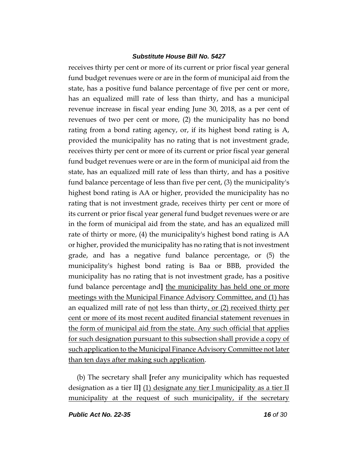receives thirty per cent or more of its current or prior fiscal year general fund budget revenues were or are in the form of municipal aid from the state, has a positive fund balance percentage of five per cent or more, has an equalized mill rate of less than thirty, and has a municipal revenue increase in fiscal year ending June 30, 2018, as a per cent of revenues of two per cent or more, (2) the municipality has no bond rating from a bond rating agency, or, if its highest bond rating is A, provided the municipality has no rating that is not investment grade, receives thirty per cent or more of its current or prior fiscal year general fund budget revenues were or are in the form of municipal aid from the state, has an equalized mill rate of less than thirty, and has a positive fund balance percentage of less than five per cent, (3) the municipality's highest bond rating is AA or higher, provided the municipality has no rating that is not investment grade, receives thirty per cent or more of its current or prior fiscal year general fund budget revenues were or are in the form of municipal aid from the state, and has an equalized mill rate of thirty or more, (4) the municipality's highest bond rating is AA or higher, provided the municipality has no rating that is not investment grade, and has a negative fund balance percentage, or (5) the municipality's highest bond rating is Baa or BBB, provided the municipality has no rating that is not investment grade, has a positive fund balance percentage and**]** the municipality has held one or more meetings with the Municipal Finance Advisory Committee, and (1) has an equalized mill rate of not less than thirty, or  $(2)$  received thirty per cent or more of its most recent audited financial statement revenues in the form of municipal aid from the state. Any such official that applies for such designation pursuant to this subsection shall provide a copy of such application to the Municipal Finance Advisory Committee not later than ten days after making such application.

(b) The secretary shall **[**refer any municipality which has requested designation as a tier II**]** (1) designate any tier I municipality as a tier II municipality at the request of such municipality, if the secretary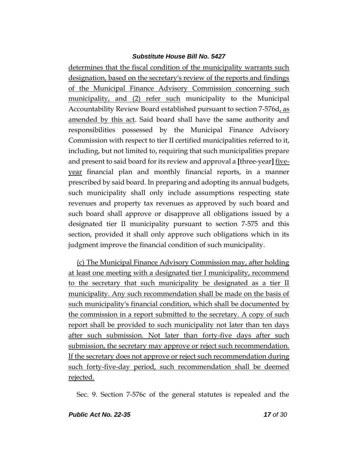determines that the fiscal condition of the municipality warrants such designation, based on the secretary's review of the reports and findings of the Municipal Finance Advisory Commission concerning such municipality, and (2) refer such municipality to the Municipal Accountability Review Board established pursuant to section 7-576d, as amended by this act. Said board shall have the same authority and responsibilities possessed by the Municipal Finance Advisory Commission with respect to tier II certified municipalities referred to it, including, but not limited to, requiring that such municipalities prepare and present to said board for its review and approval a **[**three-year**]** fiveyear financial plan and monthly financial reports, in a manner prescribed by said board. In preparing and adopting its annual budgets, such municipality shall only include assumptions respecting state revenues and property tax revenues as approved by such board and such board shall approve or disapprove all obligations issued by a designated tier II municipality pursuant to section 7-575 and this section, provided it shall only approve such obligations which in its judgment improve the financial condition of such municipality.

(c) The Municipal Finance Advisory Commission may, after holding at least one meeting with a designated tier I municipality, recommend to the secretary that such municipality be designated as a tier II municipality. Any such recommendation shall be made on the basis of such municipality's financial condition, which shall be documented by the commission in a report submitted to the secretary. A copy of such report shall be provided to such municipality not later than ten days after such submission. Not later than forty-five days after such submission, the secretary may approve or reject such recommendation. If the secretary does not approve or reject such recommendation during such forty-five-day period, such recommendation shall be deemed rejected.

Sec. 9. Section 7-576c of the general statutes is repealed and the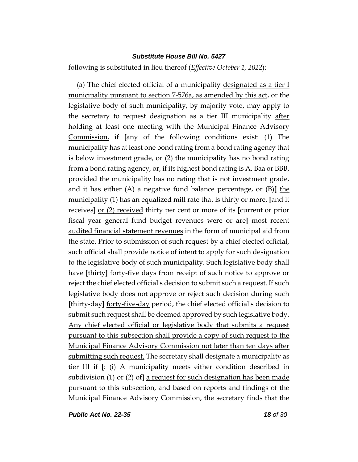following is substituted in lieu thereof (*Effective October 1, 2022*):

(a) The chief elected official of a municipality designated as a tier  $I$ municipality pursuant to section 7-576a, as amended by this act, or the legislative body of such municipality, by majority vote, may apply to the secretary to request designation as a tier III municipality after holding at least one meeting with the Municipal Finance Advisory Commission, if **[**any of the following conditions exist: (1) The municipality has at least one bond rating from a bond rating agency that is below investment grade, or (2) the municipality has no bond rating from a bond rating agency, or, if its highest bond rating is A, Baa or BBB, provided the municipality has no rating that is not investment grade, and it has either (A) a negative fund balance percentage, or (B)**]** the municipality (1) has an equalized mill rate that is thirty or more, **[**and it receives**]** or (2) received thirty per cent or more of its **[**current or prior fiscal year general fund budget revenues were or are**]** most recent audited financial statement revenues in the form of municipal aid from the state. Prior to submission of such request by a chief elected official, such official shall provide notice of intent to apply for such designation to the legislative body of such municipality. Such legislative body shall have **[**thirty**]** forty-five days from receipt of such notice to approve or reject the chief elected official's decision to submit such a request. If such legislative body does not approve or reject such decision during such **[**thirty-day**]** forty-five-day period, the chief elected official's decision to submit such request shall be deemed approved by such legislative body. Any chief elected official or legislative body that submits a request pursuant to this subsection shall provide a copy of such request to the Municipal Finance Advisory Commission not later than ten days after submitting such request. The secretary shall designate a municipality as tier III if **[**: (i) A municipality meets either condition described in subdivision (1) or (2) of**]** a request for such designation has been made pursuant to this subsection, and based on reports and findings of the Municipal Finance Advisory Commission, the secretary finds that the

*Public Act No. 22-35 18 of 30*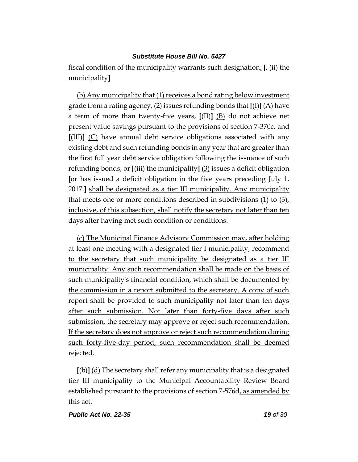fiscal condition of the municipality warrants such designation. **[**, (ii) the municipality**]**

(b) Any municipality that (1) receives a bond rating below investment grade from a rating agency, (2) issues refunding bonds that **[**(I)**]** (A) have a term of more than twenty-five years, **[**(II)**]** (B) do not achieve net present value savings pursuant to the provisions of section 7-370c, and **[**(III)**]** (C) have annual debt service obligations associated with any existing debt and such refunding bonds in any year that are greater than the first full year debt service obligation following the issuance of such refunding bonds, or **[**(iii) the municipality**]** (3) issues a deficit obligation **[**or has issued a deficit obligation in the five years preceding July 1, 2017.**]** shall be designated as a tier III municipality. Any municipality that meets one or more conditions described in subdivisions  $(1)$  to  $(3)_t$ inclusive, of this subsection, shall notify the secretary not later than ten days after having met such condition or conditions.

(c) The Municipal Finance Advisory Commission may, after holding at least one meeting with a designated tier I municipality, recommend to the secretary that such municipality be designated as a tier III municipality. Any such recommendation shall be made on the basis of such municipality's financial condition, which shall be documented by the commission in a report submitted to the secretary. A copy of such report shall be provided to such municipality not later than ten days after such submission. Not later than forty-five days after such submission, the secretary may approve or reject such recommendation. If the secretary does not approve or reject such recommendation during such forty-five-day period, such recommendation shall be deemed rejected.

**[**(b)**]** (d) The secretary shall refer any municipality that is a designated tier III municipality to the Municipal Accountability Review Board established pursuant to the provisions of section 7-576d, as amended by this act.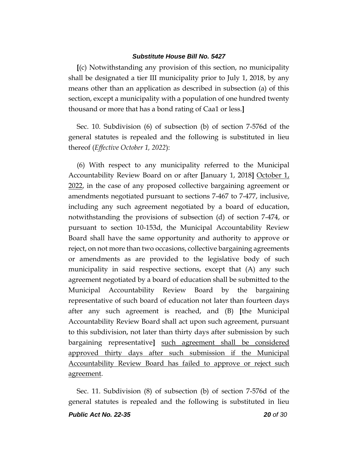**[**(c) Notwithstanding any provision of this section, no municipality shall be designated a tier III municipality prior to July 1, 2018, by any means other than an application as described in subsection (a) of this section, except a municipality with a population of one hundred twenty thousand or more that has a bond rating of Caa1 or less.**]**

Sec. 10. Subdivision (6) of subsection (b) of section 7-576d of the general statutes is repealed and the following is substituted in lieu thereof (*Effective October 1, 2022*):

(6) With respect to any municipality referred to the Municipal Accountability Review Board on or after **[**January 1, 2018**]** October 1, 2022, in the case of any proposed collective bargaining agreement or amendments negotiated pursuant to sections 7-467 to 7-477, inclusive, including any such agreement negotiated by a board of education, notwithstanding the provisions of subsection (d) of section 7-474, or pursuant to section 10-153d, the Municipal Accountability Review Board shall have the same opportunity and authority to approve or reject, on not more than two occasions, collective bargaining agreements or amendments as are provided to the legislative body of such municipality in said respective sections, except that (A) any such agreement negotiated by a board of education shall be submitted to the Municipal Accountability Review Board by the bargaining representative of such board of education not later than fourteen days after any such agreement is reached, and (B) **[**the Municipal Accountability Review Board shall act upon such agreement, pursuant to this subdivision, not later than thirty days after submission by such bargaining representative**]** such agreement shall be considered approved thirty days after such submission if the Municipal Accountability Review Board has failed to approve or reject such agreement.

Sec. 11. Subdivision (8) of subsection (b) of section 7-576d of the general statutes is repealed and the following is substituted in lieu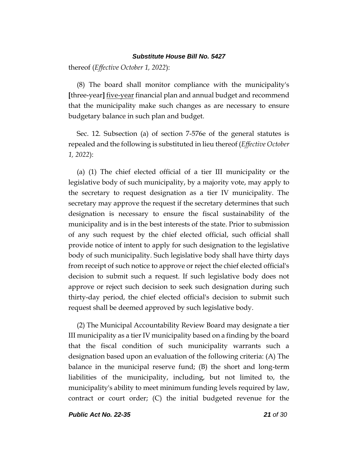thereof (*Effective October 1, 2022*):

(8) The board shall monitor compliance with the municipality's **[**three-year**]** five-year financial plan and annual budget and recommend that the municipality make such changes as are necessary to ensure budgetary balance in such plan and budget.

Sec. 12. Subsection (a) of section 7-576e of the general statutes is repealed and the following is substituted in lieu thereof (*Effective October 1, 2022*):

(a) (1) The chief elected official of a tier III municipality or the legislative body of such municipality, by a majority vote, may apply to the secretary to request designation as a tier IV municipality. The secretary may approve the request if the secretary determines that such designation is necessary to ensure the fiscal sustainability of the municipality and is in the best interests of the state. Prior to submission of any such request by the chief elected official, such official shall provide notice of intent to apply for such designation to the legislative body of such municipality. Such legislative body shall have thirty days from receipt of such notice to approve or reject the chief elected official's decision to submit such a request. If such legislative body does not approve or reject such decision to seek such designation during such thirty-day period, the chief elected official's decision to submit such request shall be deemed approved by such legislative body.

(2) The Municipal Accountability Review Board may designate a tier III municipality as a tier IV municipality based on a finding by the board that the fiscal condition of such municipality warrants such a designation based upon an evaluation of the following criteria: (A) The balance in the municipal reserve fund; (B) the short and long-term liabilities of the municipality, including, but not limited to, the municipality's ability to meet minimum funding levels required by law, contract or court order; (C) the initial budgeted revenue for the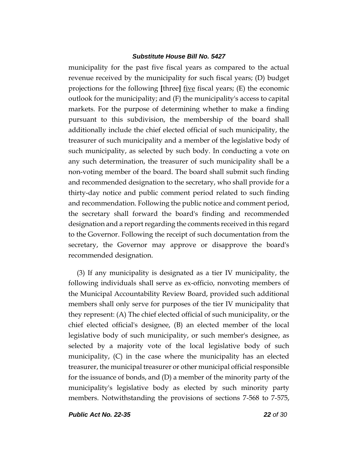municipality for the past five fiscal years as compared to the actual revenue received by the municipality for such fiscal years; (D) budget projections for the following **[**three**]** five fiscal years; (E) the economic outlook for the municipality; and (F) the municipality's access to capital markets. For the purpose of determining whether to make a finding pursuant to this subdivision, the membership of the board shall additionally include the chief elected official of such municipality, the treasurer of such municipality and a member of the legislative body of such municipality, as selected by such body. In conducting a vote on any such determination, the treasurer of such municipality shall be a non-voting member of the board. The board shall submit such finding and recommended designation to the secretary, who shall provide for a thirty-day notice and public comment period related to such finding and recommendation. Following the public notice and comment period, the secretary shall forward the board's finding and recommended designation and a report regarding the comments received in this regard to the Governor. Following the receipt of such documentation from the secretary, the Governor may approve or disapprove the board's recommended designation.

(3) If any municipality is designated as a tier IV municipality, the following individuals shall serve as ex-officio, nonvoting members of the Municipal Accountability Review Board, provided such additional members shall only serve for purposes of the tier IV municipality that they represent: (A) The chief elected official of such municipality, or the chief elected official's designee, (B) an elected member of the local legislative body of such municipality, or such member's designee, as selected by a majority vote of the local legislative body of such municipality, (C) in the case where the municipality has an elected treasurer, the municipal treasurer or other municipal official responsible for the issuance of bonds, and (D) a member of the minority party of the municipality's legislative body as elected by such minority party members. Notwithstanding the provisions of sections 7-568 to 7-575,

*Public Act No. 22-35 22 of 30*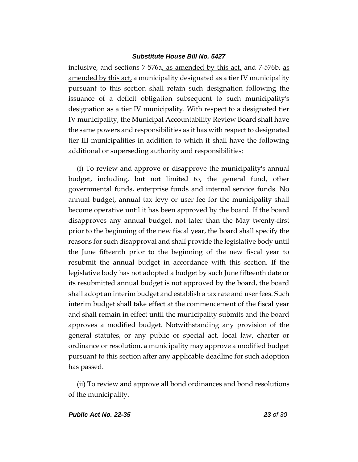inclusive, and sections 7-576a, as amended by this act, and 7-576b, as amended by this act, a municipality designated as a tier IV municipality pursuant to this section shall retain such designation following the issuance of a deficit obligation subsequent to such municipality's designation as a tier IV municipality. With respect to a designated tier IV municipality, the Municipal Accountability Review Board shall have the same powers and responsibilities as it has with respect to designated tier III municipalities in addition to which it shall have the following additional or superseding authority and responsibilities:

(i) To review and approve or disapprove the municipality's annual budget, including, but not limited to, the general fund, other governmental funds, enterprise funds and internal service funds. No annual budget, annual tax levy or user fee for the municipality shall become operative until it has been approved by the board. If the board disapproves any annual budget, not later than the May twenty-first prior to the beginning of the new fiscal year, the board shall specify the reasons for such disapproval and shall provide the legislative body until the June fifteenth prior to the beginning of the new fiscal year to resubmit the annual budget in accordance with this section. If the legislative body has not adopted a budget by such June fifteenth date or its resubmitted annual budget is not approved by the board, the board shall adopt an interim budget and establish a tax rate and user fees. Such interim budget shall take effect at the commencement of the fiscal year and shall remain in effect until the municipality submits and the board approves a modified budget. Notwithstanding any provision of the general statutes, or any public or special act, local law, charter or ordinance or resolution, a municipality may approve a modified budget pursuant to this section after any applicable deadline for such adoption has passed.

(ii) To review and approve all bond ordinances and bond resolutions of the municipality.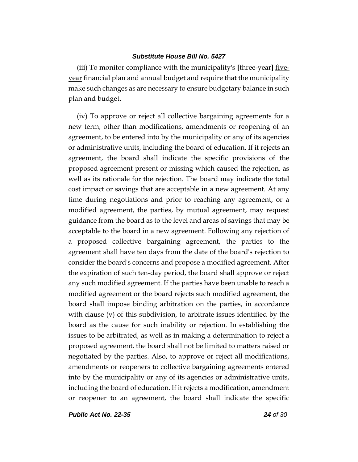(iii) To monitor compliance with the municipality's **[**three-year**]** fiveyear financial plan and annual budget and require that the municipality make such changes as are necessary to ensure budgetary balance in such plan and budget.

(iv) To approve or reject all collective bargaining agreements for a new term, other than modifications, amendments or reopening of an agreement, to be entered into by the municipality or any of its agencies or administrative units, including the board of education. If it rejects an agreement, the board shall indicate the specific provisions of the proposed agreement present or missing which caused the rejection, as well as its rationale for the rejection. The board may indicate the total cost impact or savings that are acceptable in a new agreement. At any time during negotiations and prior to reaching any agreement, or a modified agreement, the parties, by mutual agreement, may request guidance from the board as to the level and areas of savings that may be acceptable to the board in a new agreement. Following any rejection of a proposed collective bargaining agreement, the parties to the agreement shall have ten days from the date of the board's rejection to consider the board's concerns and propose a modified agreement. After the expiration of such ten-day period, the board shall approve or reject any such modified agreement. If the parties have been unable to reach a modified agreement or the board rejects such modified agreement, the board shall impose binding arbitration on the parties, in accordance with clause (v) of this subdivision, to arbitrate issues identified by the board as the cause for such inability or rejection. In establishing the issues to be arbitrated, as well as in making a determination to reject a proposed agreement, the board shall not be limited to matters raised or negotiated by the parties. Also, to approve or reject all modifications, amendments or reopeners to collective bargaining agreements entered into by the municipality or any of its agencies or administrative units, including the board of education. If it rejects a modification, amendment or reopener to an agreement, the board shall indicate the specific

*Public Act No. 22-35 24 of 30*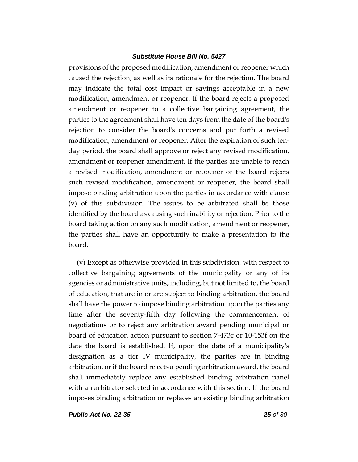provisions of the proposed modification, amendment or reopener which caused the rejection, as well as its rationale for the rejection. The board may indicate the total cost impact or savings acceptable in a new modification, amendment or reopener. If the board rejects a proposed amendment or reopener to a collective bargaining agreement, the parties to the agreement shall have ten days from the date of the board's rejection to consider the board's concerns and put forth a revised modification, amendment or reopener. After the expiration of such tenday period, the board shall approve or reject any revised modification, amendment or reopener amendment. If the parties are unable to reach a revised modification, amendment or reopener or the board rejects such revised modification, amendment or reopener, the board shall impose binding arbitration upon the parties in accordance with clause (v) of this subdivision. The issues to be arbitrated shall be those identified by the board as causing such inability or rejection. Prior to the board taking action on any such modification, amendment or reopener, the parties shall have an opportunity to make a presentation to the board.

(v) Except as otherwise provided in this subdivision, with respect to collective bargaining agreements of the municipality or any of its agencies or administrative units, including, but not limited to, the board of education, that are in or are subject to binding arbitration, the board shall have the power to impose binding arbitration upon the parties any time after the seventy-fifth day following the commencement of negotiations or to reject any arbitration award pending municipal or board of education action pursuant to section 7-473c or 10-153f on the date the board is established. If, upon the date of a municipality's designation as a tier IV municipality, the parties are in binding arbitration, or if the board rejects a pending arbitration award, the board shall immediately replace any established binding arbitration panel with an arbitrator selected in accordance with this section. If the board imposes binding arbitration or replaces an existing binding arbitration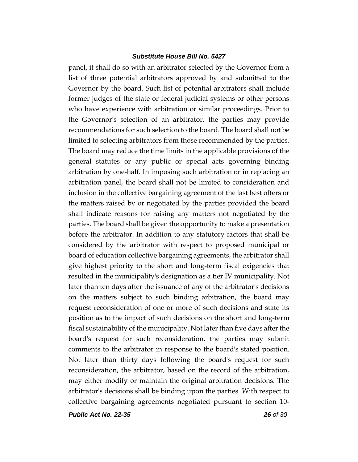panel, it shall do so with an arbitrator selected by the Governor from a list of three potential arbitrators approved by and submitted to the Governor by the board. Such list of potential arbitrators shall include former judges of the state or federal judicial systems or other persons who have experience with arbitration or similar proceedings. Prior to the Governor's selection of an arbitrator, the parties may provide recommendations for such selection to the board. The board shall not be limited to selecting arbitrators from those recommended by the parties. The board may reduce the time limits in the applicable provisions of the general statutes or any public or special acts governing binding arbitration by one-half. In imposing such arbitration or in replacing an arbitration panel, the board shall not be limited to consideration and inclusion in the collective bargaining agreement of the last best offers or the matters raised by or negotiated by the parties provided the board shall indicate reasons for raising any matters not negotiated by the parties. The board shall be given the opportunity to make a presentation before the arbitrator. In addition to any statutory factors that shall be considered by the arbitrator with respect to proposed municipal or board of education collective bargaining agreements, the arbitrator shall give highest priority to the short and long-term fiscal exigencies that resulted in the municipality's designation as a tier IV municipality. Not later than ten days after the issuance of any of the arbitrator's decisions on the matters subject to such binding arbitration, the board may request reconsideration of one or more of such decisions and state its position as to the impact of such decisions on the short and long-term fiscal sustainability of the municipality. Not later than five days after the board's request for such reconsideration, the parties may submit comments to the arbitrator in response to the board's stated position. Not later than thirty days following the board's request for such reconsideration, the arbitrator, based on the record of the arbitration, may either modify or maintain the original arbitration decisions. The arbitrator's decisions shall be binding upon the parties. With respect to collective bargaining agreements negotiated pursuant to section 10-

*Public Act No. 22-35 26 of 30*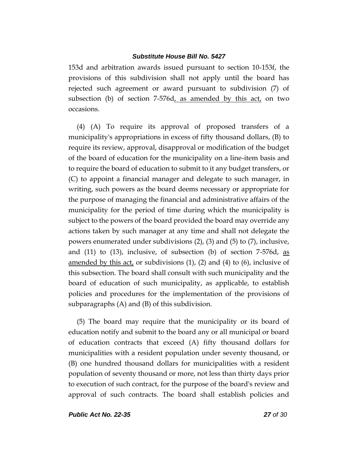153d and arbitration awards issued pursuant to section 10-153f, the provisions of this subdivision shall not apply until the board has rejected such agreement or award pursuant to subdivision (7) of subsection (b) of section 7-576d<sub> $\lambda$ </sub> as amended by this act, on two occasions.

(4) (A) To require its approval of proposed transfers of a municipality's appropriations in excess of fifty thousand dollars, (B) to require its review, approval, disapproval or modification of the budget of the board of education for the municipality on a line-item basis and to require the board of education to submit to it any budget transfers, or (C) to appoint a financial manager and delegate to such manager, in writing, such powers as the board deems necessary or appropriate for the purpose of managing the financial and administrative affairs of the municipality for the period of time during which the municipality is subject to the powers of the board provided the board may override any actions taken by such manager at any time and shall not delegate the powers enumerated under subdivisions (2), (3) and (5) to (7), inclusive, and  $(11)$  to  $(13)$ , inclusive, of subsection  $(b)$  of section 7-576d, as amended by this act, or subdivisions  $(1)$ ,  $(2)$  and  $(4)$  to  $(6)$ , inclusive of this subsection. The board shall consult with such municipality and the board of education of such municipality, as applicable, to establish policies and procedures for the implementation of the provisions of subparagraphs (A) and (B) of this subdivision.

(5) The board may require that the municipality or its board of education notify and submit to the board any or all municipal or board of education contracts that exceed (A) fifty thousand dollars for municipalities with a resident population under seventy thousand, or (B) one hundred thousand dollars for municipalities with a resident population of seventy thousand or more, not less than thirty days prior to execution of such contract, for the purpose of the board's review and approval of such contracts. The board shall establish policies and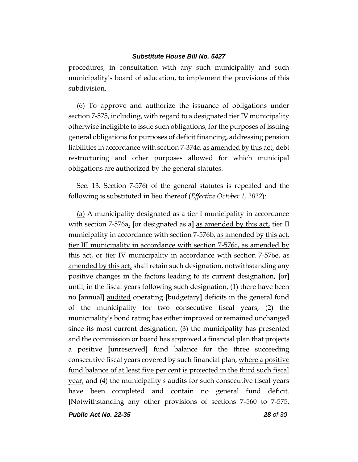procedures, in consultation with any such municipality and such municipality's board of education, to implement the provisions of this subdivision.

(6) To approve and authorize the issuance of obligations under section 7-575, including, with regard to a designated tier IV municipality otherwise ineligible to issue such obligations, for the purposes of issuing general obligations for purposes of deficit financing, addressing pension liabilities in accordance with section 7-374c, as amended by this act, debt restructuring and other purposes allowed for which municipal obligations are authorized by the general statutes.

Sec. 13. Section 7-576f of the general statutes is repealed and the following is substituted in lieu thereof (*Effective October 1, 2022*):

(a) A municipality designated as a tier I municipality in accordance with section 7-576a, **[**or designated as a**]** as amended by this act, tier II municipality in accordance with section 7-576b, as amended by this act, tier III municipality in accordance with section 7-576c, as amended by this act, or tier IV municipality in accordance with section 7-576e, as amended by this act, shall retain such designation, notwithstanding any positive changes in the factors leading to its current designation, **[**or**]** until, in the fiscal years following such designation, (1) there have been no **[**annual**]** audited operating **[**budgetary**]** deficits in the general fund of the municipality for two consecutive fiscal years, (2) the municipality's bond rating has either improved or remained unchanged since its most current designation, (3) the municipality has presented and the commission or board has approved a financial plan that projects a positive **[**unreserved**]** fund balance for the three succeeding consecutive fiscal years covered by such financial plan, where a positive fund balance of at least five per cent is projected in the third such fiscal year, and (4) the municipality's audits for such consecutive fiscal years have been completed and contain no general fund deficit. **[**Notwithstanding any other provisions of sections 7-560 to 7-575,

*Public Act No. 22-35 28 of 30*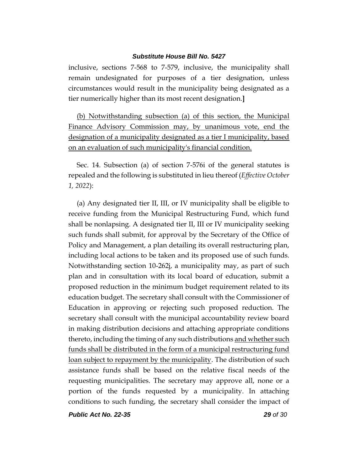inclusive, sections 7-568 to 7-579, inclusive, the municipality shall remain undesignated for purposes of a tier designation, unless circumstances would result in the municipality being designated as a tier numerically higher than its most recent designation.**]**

(b) Notwithstanding subsection (a) of this section, the Municipal Finance Advisory Commission may, by unanimous vote, end the designation of a municipality designated as a tier I municipality, based on an evaluation of such municipality's financial condition.

Sec. 14. Subsection (a) of section 7-576i of the general statutes is repealed and the following is substituted in lieu thereof (*Effective October 1, 2022*):

(a) Any designated tier II, III, or IV municipality shall be eligible to receive funding from the Municipal Restructuring Fund, which fund shall be nonlapsing. A designated tier II, III or IV municipality seeking such funds shall submit, for approval by the Secretary of the Office of Policy and Management, a plan detailing its overall restructuring plan, including local actions to be taken and its proposed use of such funds. Notwithstanding section 10-262j, a municipality may, as part of such plan and in consultation with its local board of education, submit a proposed reduction in the minimum budget requirement related to its education budget. The secretary shall consult with the Commissioner of Education in approving or rejecting such proposed reduction. The secretary shall consult with the municipal accountability review board in making distribution decisions and attaching appropriate conditions thereto, including the timing of any such distributions and whether such funds shall be distributed in the form of a municipal restructuring fund loan subject to repayment by the municipality. The distribution of such assistance funds shall be based on the relative fiscal needs of the requesting municipalities. The secretary may approve all, none or a portion of the funds requested by a municipality. In attaching conditions to such funding, the secretary shall consider the impact of

*Public Act No. 22-35 29 of 30*